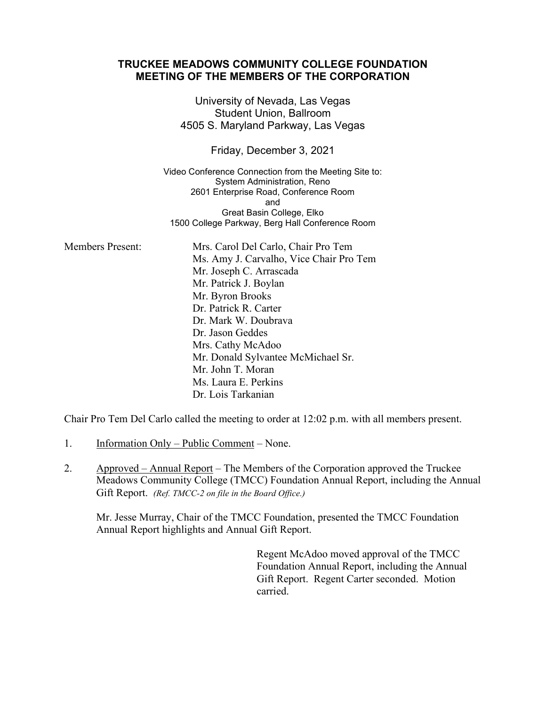## **TRUCKEE MEADOWS COMMUNITY COLLEGE FOUNDATION MEETING OF THE MEMBERS OF THE CORPORATION**

University of Nevada, Las Vegas Student Union, Ballroom 4505 S. Maryland Parkway, Las Vegas

Friday, December 3, 2021

Video Conference Connection from the Meeting Site to: System Administration, Reno 2601 Enterprise Road, Conference Room and Great Basin College, Elko 1500 College Parkway, Berg Hall Conference Room

Members Present: Mrs. Carol Del Carlo, Chair Pro Tem Ms. Amy J. Carvalho, Vice Chair Pro Tem Mr. Joseph C. Arrascada Mr. Patrick J. Boylan Mr. Byron Brooks Dr. Patrick R. Carter Dr. Mark W. Doubrava Dr. Jason Geddes Mrs. Cathy McAdoo Mr. Donald Sylvantee McMichael Sr. Mr. John T. Moran Ms. Laura E. Perkins Dr. Lois Tarkanian

Chair Pro Tem Del Carlo called the meeting to order at 12:02 p.m. with all members present.

- 1. Information Only Public Comment None.
- 2. Approved Annual Report The Members of the Corporation approved the Truckee Meadows Community College (TMCC) Foundation Annual Report, including the Annual Gift Report. *(Ref. TMCC-2 on file in the Board Office.)*

Mr. Jesse Murray, Chair of the TMCC Foundation, presented the TMCC Foundation Annual Report highlights and Annual Gift Report.

> Regent McAdoo moved approval of the TMCC Foundation Annual Report, including the Annual Gift Report. Regent Carter seconded. Motion carried.